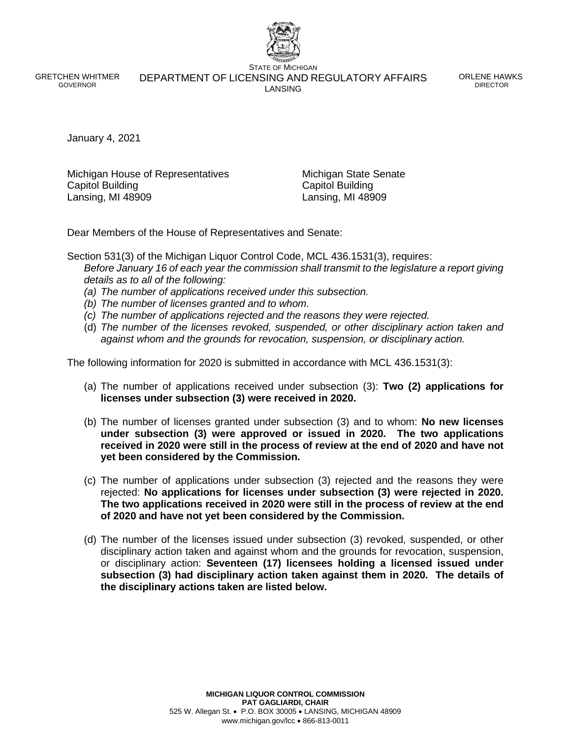GRETCHEN WHITMER GOVERNOR

STATE OF MICHIGAN DEPARTMENT OF LICENSING AND REGULATORY AFFAIRS LANSING

ORLENE HAWKS DIRECTOR

January 4, 2021

Michigan House of Representatives **Michigan State Senate** Capitol Building Capitol Building Lansing, MI 48909 Lansing, MI 48909

Dear Members of the House of Representatives and Senate:

Section 531(3) of the Michigan Liquor Control Code, MCL 436.1531(3), requires: *Before January 16 of each year the commission shall transmit to the legislature a report giving details as to all of the following:*

- *(a) The number of applications received under this subsection.*
- *(b) The number of licenses granted and to whom.*
- *(c) The number of applications rejected and the reasons they were rejected.*
- (d) *The number of the licenses revoked, suspended, or other disciplinary action taken and against whom and the grounds for revocation, suspension, or disciplinary action.*

The following information for 2020 is submitted in accordance with MCL 436.1531(3):

- (a) The number of applications received under subsection (3): **Two (2) applications for licenses under subsection (3) were received in 2020.**
- (b) The number of licenses granted under subsection (3) and to whom: **No new licenses under subsection (3) were approved or issued in 2020. The two applications received in 2020 were still in the process of review at the end of 2020 and have not yet been considered by the Commission.**
- (c) The number of applications under subsection (3) rejected and the reasons they were rejected: **No applications for licenses under subsection (3) were rejected in 2020. The two applications received in 2020 were still in the process of review at the end of 2020 and have not yet been considered by the Commission.**
- (d) The number of the licenses issued under subsection (3) revoked, suspended, or other disciplinary action taken and against whom and the grounds for revocation, suspension, or disciplinary action: **Seventeen (17) licensees holding a licensed issued under subsection (3) had disciplinary action taken against them in 2020. The details of the disciplinary actions taken are listed below.**

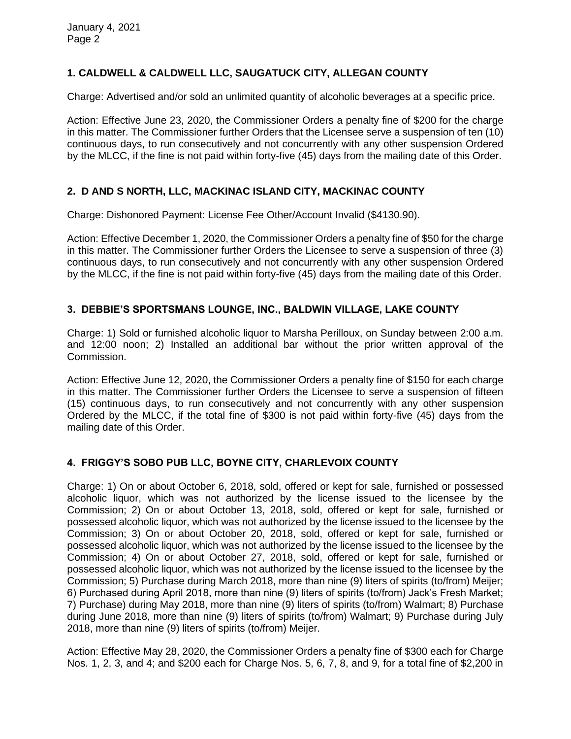# **1. CALDWELL & CALDWELL LLC, SAUGATUCK CITY, ALLEGAN COUNTY**

Charge: Advertised and/or sold an unlimited quantity of alcoholic beverages at a specific price.

Action: Effective June 23, 2020, the Commissioner Orders a penalty fine of \$200 for the charge in this matter. The Commissioner further Orders that the Licensee serve a suspension of ten (10) continuous days, to run consecutively and not concurrently with any other suspension Ordered by the MLCC, if the fine is not paid within forty-five (45) days from the mailing date of this Order.

### **2. D AND S NORTH, LLC, MACKINAC ISLAND CITY, MACKINAC COUNTY**

Charge: Dishonored Payment: License Fee Other/Account Invalid (\$4130.90).

Action: Effective December 1, 2020, the Commissioner Orders a penalty fine of \$50 for the charge in this matter. The Commissioner further Orders the Licensee to serve a suspension of three (3) continuous days, to run consecutively and not concurrently with any other suspension Ordered by the MLCC, if the fine is not paid within forty-five (45) days from the mailing date of this Order.

# **3. DEBBIE'S SPORTSMANS LOUNGE, INC., BALDWIN VILLAGE, LAKE COUNTY**

Charge: 1) Sold or furnished alcoholic liquor to Marsha Perilloux, on Sunday between 2:00 a.m. and 12:00 noon; 2) Installed an additional bar without the prior written approval of the Commission.

Action: Effective June 12, 2020, the Commissioner Orders a penalty fine of \$150 for each charge in this matter. The Commissioner further Orders the Licensee to serve a suspension of fifteen (15) continuous days, to run consecutively and not concurrently with any other suspension Ordered by the MLCC, if the total fine of \$300 is not paid within forty-five (45) days from the mailing date of this Order.

### **4. FRIGGY'S SOBO PUB LLC, BOYNE CITY, CHARLEVOIX COUNTY**

Charge: 1) On or about October 6, 2018, sold, offered or kept for sale, furnished or possessed alcoholic liquor, which was not authorized by the license issued to the licensee by the Commission; 2) On or about October 13, 2018, sold, offered or kept for sale, furnished or possessed alcoholic liquor, which was not authorized by the license issued to the licensee by the Commission; 3) On or about October 20, 2018, sold, offered or kept for sale, furnished or possessed alcoholic liquor, which was not authorized by the license issued to the licensee by the Commission; 4) On or about October 27, 2018, sold, offered or kept for sale, furnished or possessed alcoholic liquor, which was not authorized by the license issued to the licensee by the Commission; 5) Purchase during March 2018, more than nine (9) liters of spirits (to/from) Meijer; 6) Purchased during April 2018, more than nine (9) liters of spirits (to/from) Jack's Fresh Market; 7) Purchase) during May 2018, more than nine (9) liters of spirits (to/from) Walmart; 8) Purchase during June 2018, more than nine (9) liters of spirits (to/from) Walmart; 9) Purchase during July 2018, more than nine (9) liters of spirits (to/from) Meijer.

Action: Effective May 28, 2020, the Commissioner Orders a penalty fine of \$300 each for Charge Nos. 1, 2, 3, and 4; and \$200 each for Charge Nos. 5, 6, 7, 8, and 9, for a total fine of \$2,200 in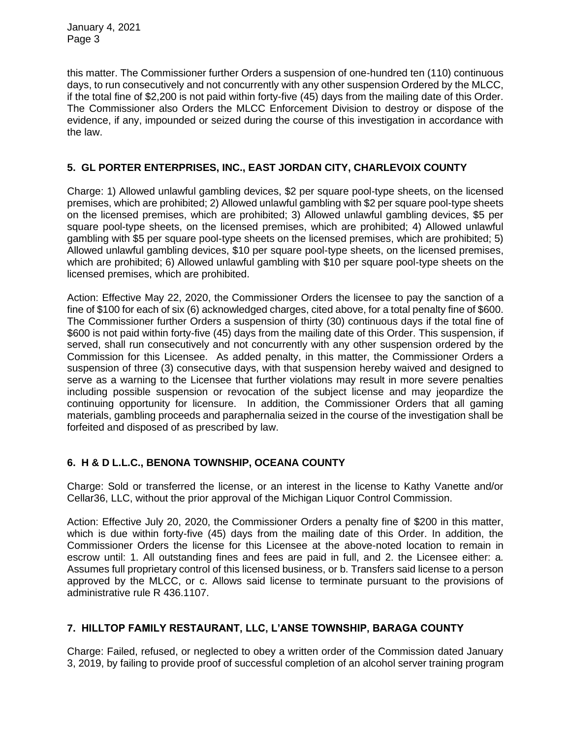January 4, 2021 Page 3

this matter. The Commissioner further Orders a suspension of one-hundred ten (110) continuous days, to run consecutively and not concurrently with any other suspension Ordered by the MLCC, if the total fine of \$2,200 is not paid within forty-five (45) days from the mailing date of this Order. The Commissioner also Orders the MLCC Enforcement Division to destroy or dispose of the evidence, if any, impounded or seized during the course of this investigation in accordance with the law.

### **5. GL PORTER ENTERPRISES, INC., EAST JORDAN CITY, CHARLEVOIX COUNTY**

Charge: 1) Allowed unlawful gambling devices, \$2 per square pool-type sheets, on the licensed premises, which are prohibited; 2) Allowed unlawful gambling with \$2 per square pool-type sheets on the licensed premises, which are prohibited; 3) Allowed unlawful gambling devices, \$5 per square pool-type sheets, on the licensed premises, which are prohibited; 4) Allowed unlawful gambling with \$5 per square pool-type sheets on the licensed premises, which are prohibited; 5) Allowed unlawful gambling devices, \$10 per square pool-type sheets, on the licensed premises, which are prohibited; 6) Allowed unlawful gambling with \$10 per square pool-type sheets on the licensed premises, which are prohibited.

Action: Effective May 22, 2020, the Commissioner Orders the licensee to pay the sanction of a fine of \$100 for each of six (6) acknowledged charges, cited above, for a total penalty fine of \$600. The Commissioner further Orders a suspension of thirty (30) continuous days if the total fine of \$600 is not paid within forty-five (45) days from the mailing date of this Order. This suspension, if served, shall run consecutively and not concurrently with any other suspension ordered by the Commission for this Licensee. As added penalty, in this matter, the Commissioner Orders a suspension of three (3) consecutive days, with that suspension hereby waived and designed to serve as a warning to the Licensee that further violations may result in more severe penalties including possible suspension or revocation of the subject license and may jeopardize the continuing opportunity for licensure. In addition, the Commissioner Orders that all gaming materials, gambling proceeds and paraphernalia seized in the course of the investigation shall be forfeited and disposed of as prescribed by law.

### **6. H & D L.L.C., BENONA TOWNSHIP, OCEANA COUNTY**

Charge: Sold or transferred the license, or an interest in the license to Kathy Vanette and/or Cellar36, LLC, without the prior approval of the Michigan Liquor Control Commission.

Action: Effective July 20, 2020, the Commissioner Orders a penalty fine of \$200 in this matter, which is due within forty-five (45) days from the mailing date of this Order. In addition, the Commissioner Orders the license for this Licensee at the above-noted location to remain in escrow until: 1. All outstanding fines and fees are paid in full, and 2. the Licensee either: a. Assumes full proprietary control of this licensed business, or b. Transfers said license to a person approved by the MLCC, or c. Allows said license to terminate pursuant to the provisions of administrative rule R 436.1107.

### **7. HILLTOP FAMILY RESTAURANT, LLC, L'ANSE TOWNSHIP, BARAGA COUNTY**

Charge: Failed, refused, or neglected to obey a written order of the Commission dated January 3, 2019, by failing to provide proof of successful completion of an alcohol server training program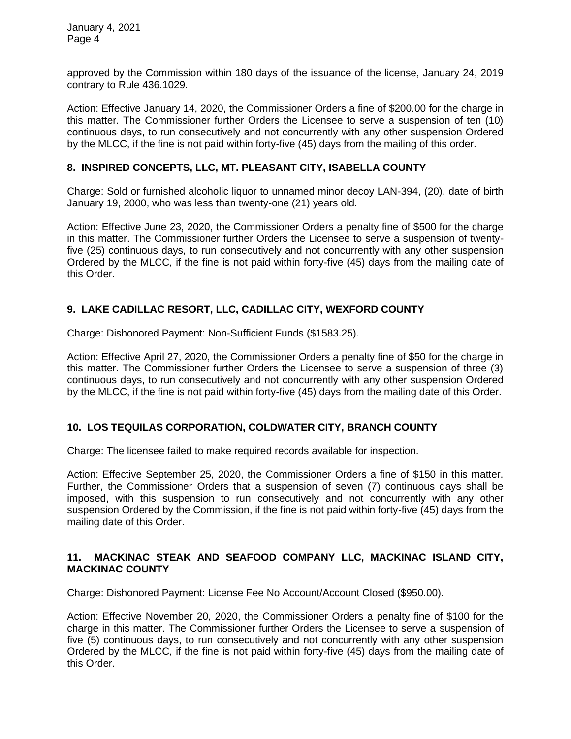January 4, 2021 Page 4

approved by the Commission within 180 days of the issuance of the license, January 24, 2019 contrary to Rule 436.1029.

Action: Effective January 14, 2020, the Commissioner Orders a fine of \$200.00 for the charge in this matter. The Commissioner further Orders the Licensee to serve a suspension of ten (10) continuous days, to run consecutively and not concurrently with any other suspension Ordered by the MLCC, if the fine is not paid within forty-five (45) days from the mailing of this order.

### **8. INSPIRED CONCEPTS, LLC, MT. PLEASANT CITY, ISABELLA COUNTY**

Charge: Sold or furnished alcoholic liquor to unnamed minor decoy LAN-394, (20), date of birth January 19, 2000, who was less than twenty-one (21) years old.

Action: Effective June 23, 2020, the Commissioner Orders a penalty fine of \$500 for the charge in this matter. The Commissioner further Orders the Licensee to serve a suspension of twentyfive (25) continuous days, to run consecutively and not concurrently with any other suspension Ordered by the MLCC, if the fine is not paid within forty-five (45) days from the mailing date of this Order.

### **9. LAKE CADILLAC RESORT, LLC, CADILLAC CITY, WEXFORD COUNTY**

Charge: Dishonored Payment: Non-Sufficient Funds (\$1583.25).

Action: Effective April 27, 2020, the Commissioner Orders a penalty fine of \$50 for the charge in this matter. The Commissioner further Orders the Licensee to serve a suspension of three (3) continuous days, to run consecutively and not concurrently with any other suspension Ordered by the MLCC, if the fine is not paid within forty-five (45) days from the mailing date of this Order.

### **10. LOS TEQUILAS CORPORATION, COLDWATER CITY, BRANCH COUNTY**

Charge: The licensee failed to make required records available for inspection.

Action: Effective September 25, 2020, the Commissioner Orders a fine of \$150 in this matter. Further, the Commissioner Orders that a suspension of seven (7) continuous days shall be imposed, with this suspension to run consecutively and not concurrently with any other suspension Ordered by the Commission, if the fine is not paid within forty-five (45) days from the mailing date of this Order.

#### **11. MACKINAC STEAK AND SEAFOOD COMPANY LLC, MACKINAC ISLAND CITY, MACKINAC COUNTY**

Charge: Dishonored Payment: License Fee No Account/Account Closed (\$950.00).

Action: Effective November 20, 2020, the Commissioner Orders a penalty fine of \$100 for the charge in this matter. The Commissioner further Orders the Licensee to serve a suspension of five (5) continuous days, to run consecutively and not concurrently with any other suspension Ordered by the MLCC, if the fine is not paid within forty-five (45) days from the mailing date of this Order.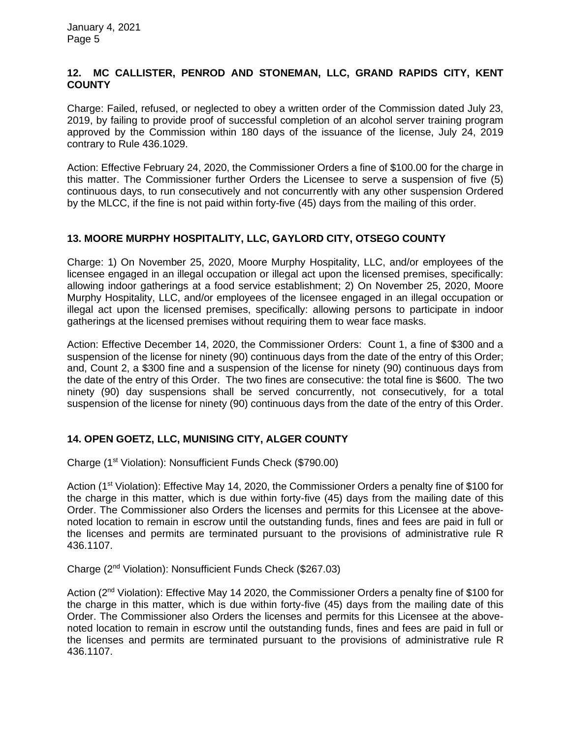### **12. MC CALLISTER, PENROD AND STONEMAN, LLC, GRAND RAPIDS CITY, KENT COUNTY**

Charge: Failed, refused, or neglected to obey a written order of the Commission dated July 23, 2019, by failing to provide proof of successful completion of an alcohol server training program approved by the Commission within 180 days of the issuance of the license, July 24, 2019 contrary to Rule 436.1029.

Action: Effective February 24, 2020, the Commissioner Orders a fine of \$100.00 for the charge in this matter. The Commissioner further Orders the Licensee to serve a suspension of five (5) continuous days, to run consecutively and not concurrently with any other suspension Ordered by the MLCC, if the fine is not paid within forty-five (45) days from the mailing of this order.

### **13. MOORE MURPHY HOSPITALITY, LLC, GAYLORD CITY, OTSEGO COUNTY**

Charge: 1) On November 25, 2020, Moore Murphy Hospitality, LLC, and/or employees of the licensee engaged in an illegal occupation or illegal act upon the licensed premises, specifically: allowing indoor gatherings at a food service establishment; 2) On November 25, 2020, Moore Murphy Hospitality, LLC, and/or employees of the licensee engaged in an illegal occupation or illegal act upon the licensed premises, specifically: allowing persons to participate in indoor gatherings at the licensed premises without requiring them to wear face masks.

Action: Effective December 14, 2020, the Commissioner Orders: Count 1, a fine of \$300 and a suspension of the license for ninety (90) continuous days from the date of the entry of this Order; and, Count 2, a \$300 fine and a suspension of the license for ninety (90) continuous days from the date of the entry of this Order. The two fines are consecutive: the total fine is \$600. The two ninety (90) day suspensions shall be served concurrently, not consecutively, for a total suspension of the license for ninety (90) continuous days from the date of the entry of this Order.

# **14. OPEN GOETZ, LLC, MUNISING CITY, ALGER COUNTY**

Charge (1st Violation): Nonsufficient Funds Check (\$790.00)

Action (1<sup>st</sup> Violation): Effective May 14, 2020, the Commissioner Orders a penalty fine of \$100 for the charge in this matter, which is due within forty-five (45) days from the mailing date of this Order. The Commissioner also Orders the licenses and permits for this Licensee at the abovenoted location to remain in escrow until the outstanding funds, fines and fees are paid in full or the licenses and permits are terminated pursuant to the provisions of administrative rule R 436.1107.

Charge (2nd Violation): Nonsufficient Funds Check (\$267.03)

Action (2nd Violation): Effective May 14 2020, the Commissioner Orders a penalty fine of \$100 for the charge in this matter, which is due within forty-five (45) days from the mailing date of this Order. The Commissioner also Orders the licenses and permits for this Licensee at the abovenoted location to remain in escrow until the outstanding funds, fines and fees are paid in full or the licenses and permits are terminated pursuant to the provisions of administrative rule R 436.1107.